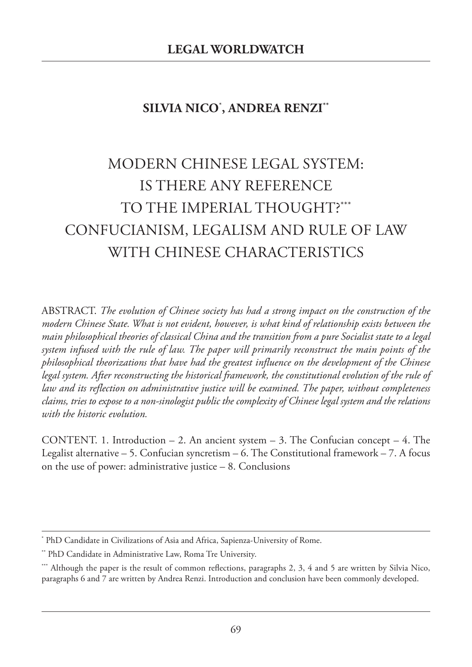# **SILVIA NICO**\* **, ANDREA RENZI\*\***

# MODERN CHINESE LEGAL SYSTEM: IS THERE ANY REFERENCE TO THE IMPERIAL THOUGHT? \*\*\* CONFUCIANISM, LEGALISM AND RULE OF LAW WITH CHINESE CHARACTERISTICS

ABSTRACT. *The evolution of Chinese society has had a strong impact on the construction of the modern Chinese State. What is not evident, however, is what kind of relationship exists between the main philosophical theories of classical China and the transition from a pure Socialist state to a legal system infused with the rule of law. The paper will primarily reconstruct the main points of the philosophical theorizations that have had the greatest influence on the development of the Chinese legal system. After reconstructing the historical framework, the constitutional evolution of the rule of law and its reflection on administrative justice will be examined. The paper, without completeness* claims, tries to expose to a non-sinologist public the complexity of Chinese legal system and the relations *with the historic evolution.*

CONTENT. 1. Introduction  $-2$ . An ancient system  $-3$ . The Confucian concept  $-4$ . The Legalist alternative – 5. Confucian syncretism – 6. The Constitutional framework – 7. A focus on the use of power: administrative justice – 8. Conclusions

<sup>\*</sup> PhD Candidate in Civilizations of Asia and Africa, Sapienza-University of Rome.

<sup>\*\*</sup> PhD Candidate in Administrative Law, Roma Tre University.

<sup>\*\*\*</sup> Although the paper is the result of common reflections, paragraphs 2, 3, 4 and 5 are written by Silvia Nico, paragraphs 6 and 7 are written by Andrea Renzi. Introduction and conclusion have been commonly developed.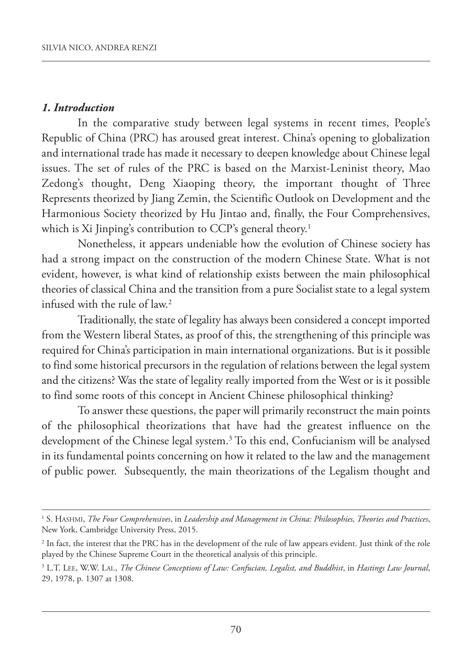#### *1. Introduction*

In the comparative study between legal systems in recent times, People's Republic of China (PRC) has aroused great interest. China's opening to globalization and international trade has made it necessary to deepen knowledge about Chinese legal issues. The set of rules of the PRC is based on the Marxist-Leninist theory, Mao zedong's thought, Deng Xiaoping theory, the important thought of Three Represents theorized by Jiang zemin, the Scientific Outlook on Development and the Harmonious Society theorized by Hu Jintao and, finally, the Four Comprehensives, which is Xi Jinping's contribution to CCP's general theory. 1

Nonetheless, it appears undeniable how the evolution of Chinese society has had a strong impact on the construction of the modern Chinese State. What is not evident, however, is what kind of relationship exists between the main philosophical theories of classical China and the transition from a pure Socialist state to a legal system infused with the rule of law. 2

Traditionally, the state of legality has always been considered a concept imported from the Western liberal States, as proof of this, the strengthening of this principle was required for China's participation in main international organizations. But is it possible to find some historical precursors in the regulation of relations between the legal system and the citizens? Was the state of legality really imported from the West or is it possible to find some roots of this concept in Ancient Chinese philosophical thinking?

To answer these questions, the paper will primarily reconstruct the main points of the philosophical theorizations that have had the greatest influence on the development of the Chinese legal system. <sup>3</sup> To this end, Confucianism will be analysed in its fundamental points concerning on how it related to the law and the management of public power. Subsequently, the main theorizations of the Legalism thought and

<sup>1</sup> S. HASHMI, *The Four Comprehensives*, in *Leadership and Management in China: Philosophies, Theories and Practices*, New York, Cambridge University Press, 2015.

<sup>&</sup>lt;sup>2</sup> In fact, the interest that the PRC has in the development of the rule of law appears evident. Just think of the role played by the Chinese Supreme Court in the theoretical analysis of this principle.

<sup>3</sup> L.T. LEE, W.W. LAI., *The Chinese Conceptions of Law: Confucian, Legalist, and Buddhist*, in *Hastings Law Journal*, 29, 1978, p. 1307 at 1308.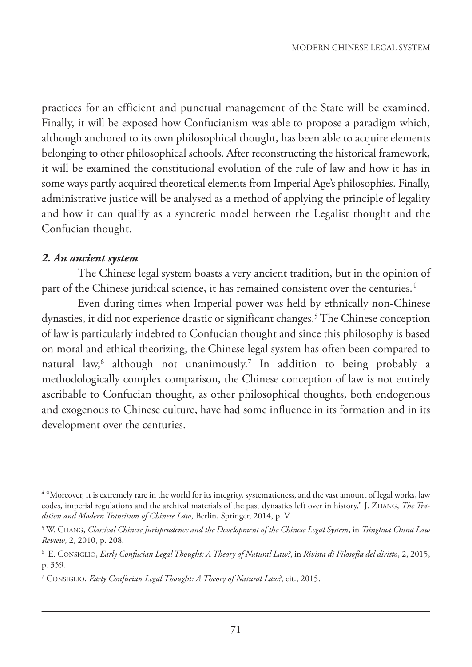practices for an efficient and punctual management of the State will be examined. Finally, it will be exposed how Confucianism was able to propose a paradigm which, although anchored to its own philosophical thought, has been able to acquire elements belonging to other philosophical schools. After reconstructing the historical framework, it will be examined the constitutional evolution of the rule of law and how it has in some ways partly acquired theoretical elements from Imperial Age's philosophies. Finally, administrative justice will be analysed as a method of applying the principle of legality and how it can qualify as a syncretic model between the Legalist thought and the Confucian thought.

#### *2. An ancient system*

The Chinese legal system boasts a very ancient tradition, but in the opinion of part of the Chinese juridical science, it has remained consistent over the centuries. 4

Even during times when Imperial power was held by ethnically non-Chinese dynasties, it did not experience drastic or significant changes. <sup>5</sup> The Chinese conception of law is particularly indebted to Confucian thought and since this philosophy is based on moral and ethical theorizing, the Chinese legal system has often been compared to natural law, <sup>6</sup> although not unanimously. <sup>7</sup> In addition to being probably a methodologically complex comparison, the Chinese conception of law is not entirely ascribable to Confucian thought, as other philosophical thoughts, both endogenous and exogenous to Chinese culture, have had some influence in its formation and in its development over the centuries.

<sup>&</sup>lt;sup>4</sup> "Moreover, it is extremely rare in the world for its integrity, systematicness, and the vast amount of legal works, law codes, imperial regulations and the archival materials of the past dynasties left over in history," J. zHANG, *The Tradition and Modern Transition of Chinese Law*, Berlin, Springer, 2014, p. V.

<sup>5</sup> W. CHANG, *Classical Chinese Jurisprudence and the Development of the Chinese Legal System*, in *Tsinghua China Law Review*, 2, 2010, p. 208.

<sup>6</sup> E. CONSIGLIO, *Early Confucian Legal Thought: A Theory of Natural Law?*, in *Rivista di Filosofia del diritto*, 2, 2015, p. 359.

<sup>7</sup> CONSIGLIO, *Early Confucian Legal Thought: A Theory of Natural Law?*, cit., 2015.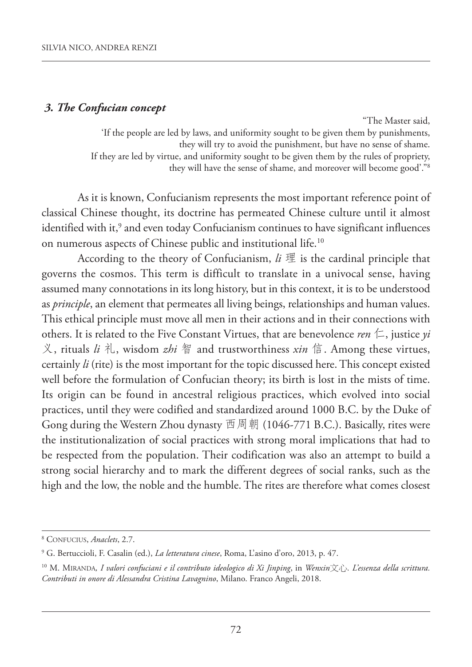#### *3. The Confucian concept*

"The Master said, 'If the people are led by laws, and uniformity sought to be given them by punishments, they will try to avoid the punishment, but have no sense of shame. If they are led by virtue, and uniformity sought to be given them by the rules of propriety, they will have the sense of shame, and moreover will become good'."8

As it is known, Confucianism represents the most important reference point of classical Chinese thought, its doctrine has permeated Chinese culture until it almost identified with it, <sup>9</sup> and even today Confucianism continues to have significant influences on numerous aspects of Chinese public and institutional life. 10

According to the theory of Confucianism, *li* 理 is the cardinal principle that governs the cosmos. This term is difficult to translate in a univocal sense, having assumed many connotations in its long history, but in this context, it is to be understood as *principle*, an element that permeates all living beings, relationships and human values. This ethical principle must move all men in their actions and in their connections with others. It is related to the Five Constant Virtues, that are benevolence *ren*  $\leftarrow$ , justice *yi* 义, rituals *li* 礼, wisdom *zhi* 智 and trustworthiness *xin* 信. Among these virtues, certainly *li* (rite) is the most important for the topic discussed here.This concept existed well before the formulation of Confucian theory; its birth is lost in the mists of time. Its origin can be found in ancestral religious practices, which evolved into social practices, until they were codified and standardized around 1000 B.C. by the Duke of Gong during the Western zhou dynasty 西周朝 (1046-771 B.C.). Basically, rites were the institutionalization of social practices with strong moral implications that had to be respected from the population. Their codification was also an attempt to build a strong social hierarchy and to mark the different degrees of social ranks, such as the high and the low, the noble and the humble. The rites are therefore what comes closest

<sup>8</sup> CONFUCIUS, *Anaclets*, 2.7.

<sup>9</sup> G. Bertuccioli, F. Casalin (ed.), *La letteratura cinese*, Roma, L'asino d'oro, 2013, p. 47.

<sup>&</sup>lt;sup>10</sup> M. MIRANDA, I valori confuciani e il contributo ideologico di Xi Jinping, in Wenxin $\bar{\chi}$ i). L'essenza della scrittura. *Contributi in onore di Alessandra Cristina Lavagnino*, Milano. Franco Angeli, 2018.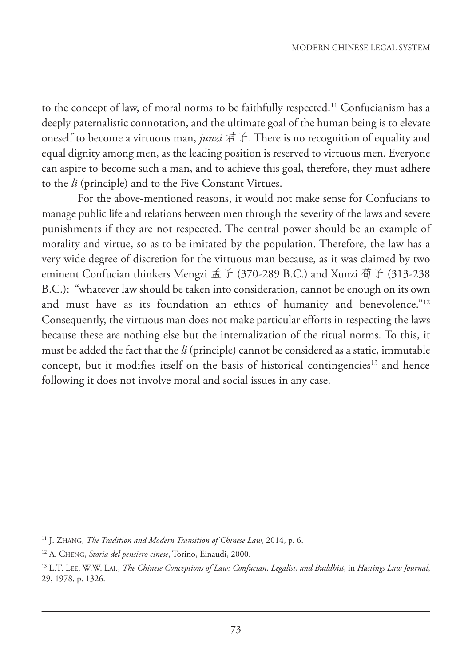to the concept of law, of moral norms to be faithfully respected. <sup>11</sup> Confucianism has a deeply paternalistic connotation, and the ultimate goal of the human being is to elevate oneself to become a virtuous man, *junzi* 君子. There is no recognition of equality and equal dignity among men, as the leading position is reserved to virtuous men. Everyone can aspire to become such a man, and to achieve this goal, therefore, they must adhere to the *li* (principle) and to the Five Constant Virtues.

For the above-mentioned reasons, it would not make sense for Confucians to manage public life and relations between men through the severity of the laws and severe punishments if they are not respected. The central power should be an example of morality and virtue, so as to be imitated by the population. Therefore, the law has a very wide degree of discretion for the virtuous man because, as it was claimed by two eminent Confucian thinkers Mengzi 孟子 (370-289 B.C.) and Xunzi 荀子 (313-238 B.C.): "whatever law should be taken into consideration, cannot be enough on its own and must have as its foundation an ethics of humanity and benevolence."<sup>12</sup> Consequently, the virtuous man does not make particular efforts in respecting the laws because these are nothing else but the internalization of the ritual norms. To this, it must be added the fact that the *li* (principle) cannot be considered as a static, immutable concept, but it modifies itself on the basis of historical contingencies<sup>13</sup> and hence following it does not involve moral and social issues in any case.

<sup>11</sup> J. zHANG, *The Tradition and Modern Transition of Chinese Law*, 2014, p. 6.

<sup>12</sup> A. CHENG, *Storia del pensiero cinese*, Torino, Einaudi, 2000.

<sup>13</sup> L.T. LEE, W.W. LAI., *The Chinese Conceptions of Law: Confucian, Legalist, and Buddhist*, in *Hastings Law Journal*, 29, 1978, p. 1326.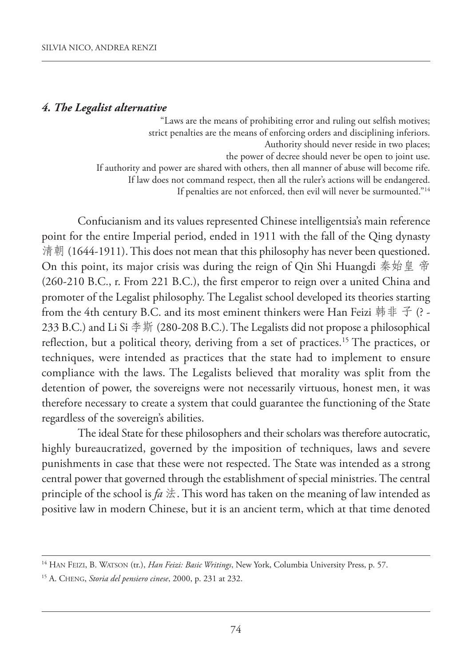#### *4. The Legalist alternative*

"Laws are the means of prohibiting error and ruling out selfish motives; strict penalties are the means of enforcing orders and disciplining inferiors. Authority should never reside in two places; the power of decree should never be open to joint use. If authority and power are shared with others, then all manner of abuse will become rife. If law does not command respect, then all the ruler's actions will be endangered. If penalties are not enforced, then evil will never be surmounted."14

Confucianism and its values represented Chinese intelligentsia's main reference point for the entire Imperial period, ended in 1911 with the fall of the Qing dynasty 清朝 (1644-1911). This does not mean that this philosophy has never been questioned. On this point, its major crisis was during the reign of Qin Shi Huangdi 秦始皇 帝 (260-210 B.C., r. From 221 B.C.), the first emperor to reign over a united China and promoter of the Legalist philosophy. The Legalist school developed its theories starting from the 4th century B.C. and its most eminent thinkers were Han Feizi 韩非子(? -233 B.C.) and Li Si 李斯 (280-208 B.C.).The Legalists did not propose a philosophical reflection, but a political theory, deriving from a set of practices. <sup>15</sup> The practices, or techniques, were intended as practices that the state had to implement to ensure compliance with the laws. The Legalists believed that morality was split from the detention of power, the sovereigns were not necessarily virtuous, honest men, it was therefore necessary to create a system that could guarantee the functioning of the State regardless of the sovereign's abilities.

The ideal State for these philosophers and their scholars was therefore autocratic, highly bureaucratized, governed by the imposition of techniques, laws and severe punishments in case that these were not respected. The State was intended as a strong central power that governed through the establishment of special ministries.The central principle of the school is  $fa \nLeftrightarrow$ . This word has taken on the meaning of law intended as positive law in modern Chinese, but it is an ancient term, which at that time denoted

<sup>14</sup> HAN FEIzI, B. WATSON (tr.), *Han Feizi: Basic Writings*, New York, Columbia University Press, p. 57.

<sup>15</sup> A. CHENG, *Storia del pensiero cinese*, 2000, p. 231 at 232.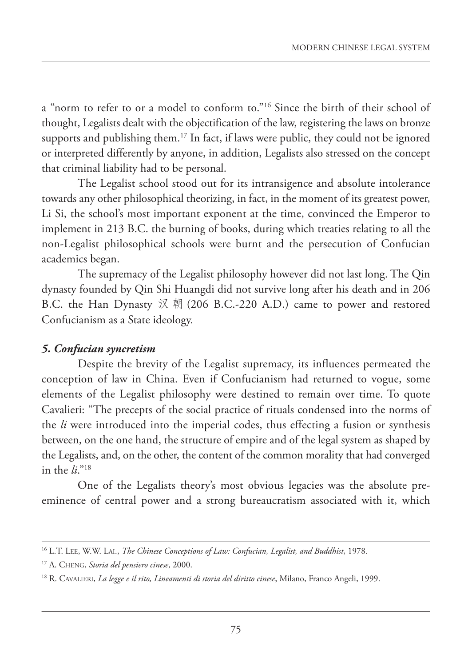a "norm to refer to or a model to conform to."16 Since the birth of their school of thought, Legalists dealt with the objectification of the law, registering the laws on bronze supports and publishing them. <sup>17</sup> In fact, if laws were public, they could not be ignored or interpreted differently by anyone, in addition, Legalists also stressed on the concept that criminal liability had to be personal.

The Legalist school stood out for its intransigence and absolute intolerance towards any other philosophical theorizing, in fact, in the moment of its greatest power, Li Si, the school's most important exponent at the time, convinced the Emperor to implement in 213 B.C. the burning of books, during which treaties relating to all the non-Legalist philosophical schools were burnt and the persecution of Confucian academics began.

The supremacy of the Legalist philosophy however did not last long. The Qin dynasty founded by Qin Shi Huangdi did not survive long after his death and in 206 B.C. the Han Dynasty 汉 朝 (206 B.C.-220 A.D.) came to power and restored Confucianism as a State ideology.

## *5. Confucian syncretism*

Despite the brevity of the Legalist supremacy, its influences permeated the conception of law in China. Even if Confucianism had returned to vogue, some elements of the Legalist philosophy were destined to remain over time. To quote Cavalieri: "The precepts of the social practice of rituals condensed into the norms of the *li* were introduced into the imperial codes, thus effecting a fusion or synthesis between, on the one hand, the structure of empire and of the legal system as shaped by the Legalists, and, on the other, the content of the common morality that had converged in the *li*."18

One of the Legalists theory's most obvious legacies was the absolute preeminence of central power and a strong bureaucratism associated with it, which

<sup>16</sup> L.T. LEE, W.W. LAI., *The Chinese Conceptions of Law: Confucian, Legalist, and Buddhist*, 1978.

<sup>17</sup> A. CHENG, *Storia del pensiero cinese*, 2000.

<sup>18</sup> R. CAVALIERI, *La legge e il rito, Lineamenti di storia del diritto cinese*, Milano, Franco Angeli, 1999.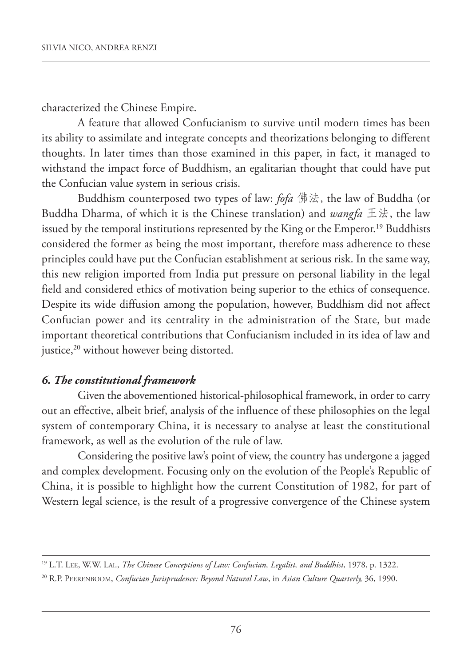characterized the Chinese Empire.

A feature that allowed Confucianism to survive until modern times has been its ability to assimilate and integrate concepts and theorizations belonging to different thoughts. In later times than those examined in this paper, in fact, it managed to withstand the impact force of Buddhism, an egalitarian thought that could have put the Confucian value system in serious crisis.

Buddhism counterposed two types of law: *fofa* 佛法, the law of Buddha (or Buddha Dharma, of which it is the Chinese translation) and *wangfa* 王法, the law issued by the temporal institutions represented by the King or the Emperor. <sup>19</sup> Buddhists considered the former as being the most important, therefore mass adherence to these principles could have put the Confucian establishment at serious risk. In the same way, this new religion imported from India put pressure on personal liability in the legal field and considered ethics of motivation being superior to the ethics of consequence. Despite its wide diffusion among the population, however, Buddhism did not affect Confucian power and its centrality in the administration of the State, but made important theoretical contributions that Confucianism included in its idea of law and justice, <sup>20</sup> without however being distorted.

## *6. The constitutional framework*

Given the abovementioned historical-philosophical framework, in order to carry out an effective, albeit brief, analysis of the influence of these philosophies on the legal system of contemporary China, it is necessary to analyse at least the constitutional framework, as well as the evolution of the rule of law.

Considering the positive law's point of view, the country has undergone a jagged and complex development. Focusing only on the evolution of the People's Republic of China, it is possible to highlight how the current Constitution of 1982, for part of Western legal science, is the result of a progressive convergence of the Chinese system

<sup>19</sup> L.T. LEE, W.W. LAI., *The Chinese Conceptions of Law: Confucian, Legalist, and Buddhist*, 1978, p. 1322.

<sup>20</sup> R.P. PEERENBOOM, *Confucian Jurisprudence: Beyond Natural Law*, in *Asian Culture Quarterly,* 36, 1990.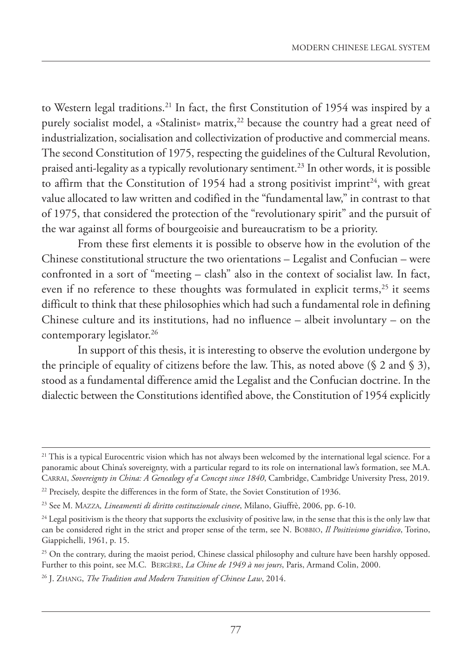to Western legal traditions. <sup>21</sup> In fact, the first Constitution of 1954 was inspired by a purely socialist model, a «Stalinist» matrix, <sup>22</sup> because the country had a great need of industrialization, socialisation and collectivization of productive and commercial means. The second Constitution of 1975, respecting the guidelines of the Cultural Revolution, praised anti-legality as a typically revolutionary sentiment. <sup>23</sup> In other words, it is possible to affirm that the Constitution of 1954 had a strong positivist imprint<sup>24</sup>, with great value allocated to law written and codified in the "fundamental law," in contrast to that of 1975, that considered the protection of the "revolutionary spirit" and the pursuit of the war against all forms of bourgeoisie and bureaucratism to be a priority.

From these first elements it is possible to observe how in the evolution of the Chinese constitutional structure the two orientations – Legalist and Confucian – were confronted in a sort of "meeting – clash" also in the context of socialist law. In fact, even if no reference to these thoughts was formulated in explicit terms, <sup>25</sup> it seems difficult to think that these philosophies which had such a fundamental role in defining Chinese culture and its institutions, had no influence – albeit involuntary – on the contemporary legislator. 26

In support of this thesis, it is interesting to observe the evolution undergone by the principle of equality of citizens before the law. This, as noted above  $(\S 2 \text{ and } \S 3)$ , stood as a fundamental difference amid the Legalist and the Confucian doctrine. In the dialectic between the Constitutions identified above, the Constitution of 1954 explicitly

<sup>&</sup>lt;sup>21</sup> This is a typical Eurocentric vision which has not always been welcomed by the international legal science. For a panoramic about China's sovereignty, with a particular regard to its role on international law's formation, see M.A. CARRAI, *Sovereignty in China: A Genealogy of a Concept since 1840*, Cambridge, Cambridge University Press, 2019.

<sup>&</sup>lt;sup>22</sup> Precisely, despite the differences in the form of State, the Soviet Constitution of 1936.

<sup>23</sup> See M. MAzzA*, Lineamenti di diritto costituzionale cinese*, Milano, Giuffrè, 2006, pp. 6-10.

<sup>&</sup>lt;sup>24</sup> Legal positivism is the theory that supports the exclusivity of positive law, in the sense that this is the only law that can be considered right in the strict and proper sense of the term, see N. BOBBIO, *Il Positivismo giuridico*, Torino, Giappichelli, 1961, p. 15.

<sup>&</sup>lt;sup>25</sup> On the contrary, during the maoist period, Chinese classical philosophy and culture have been harshly opposed. Further to this point, see M.C. BERGèRE, *La Chine de 1949 à nos jours*, Paris, Armand Colin, 2000.

<sup>26</sup> J. zHANG, *The Tradition and Modern Transition of Chinese Law*, 2014.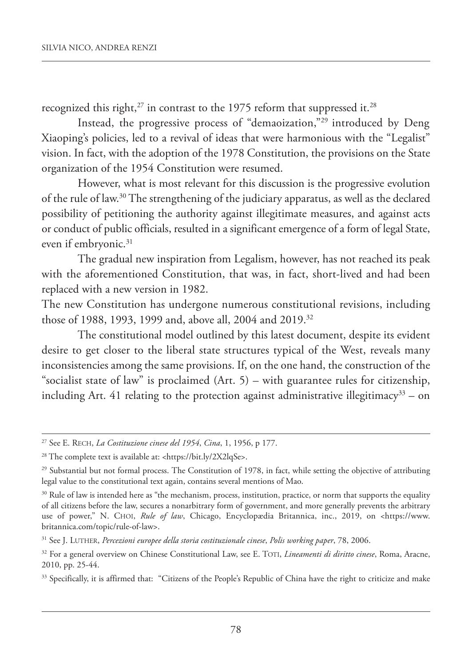recognized this right, $^{27}$  in contrast to the 1975 reform that suppressed it. $^{28}$ 

Instead, the progressive process of "demaoization,"29 introduced by Deng Xiaoping's policies, led to a revival of ideas that were harmonious with the "Legalist" vision. In fact, with the adoption of the 1978 Constitution, the provisions on the State organization of the 1954 Constitution were resumed.

However, what is most relevant for this discussion is the progressive evolution of the rule of law. <sup>30</sup> The strengthening of the judiciary apparatus, as well as the declared possibility of petitioning the authority against illegitimate measures, and against acts or conduct of public officials, resulted in a significant emergence of a form of legal State, even if embryonic. 31

The gradual new inspiration from Legalism, however, has not reached its peak with the aforementioned Constitution, that was, in fact, short-lived and had been replaced with a new version in 1982.

The new Constitution has undergone numerous constitutional revisions, including those of 1988, 1993, 1999 and, above all, 2004 and 2019. 32

The constitutional model outlined by this latest document, despite its evident desire to get closer to the liberal state structures typical of the West, reveals many inconsistencies among the same provisions. If, on the one hand, the construction of the "socialist state of law" is proclaimed  $(Art. 5)$  – with guarantee rules for citizenship, including Art. 41 relating to the protection against administrative illegitimacy<sup>33</sup> – on

<sup>27</sup> See E. RECH, *La Costituzione cinese del 1954*, *Cina*, 1, 1956, p 177.

<sup>&</sup>lt;sup>28</sup> The complete text is available at: <https://bit.ly/2X2lqSe>.

<sup>&</sup>lt;sup>29</sup> Substantial but not formal process. The Constitution of 1978, in fact, while setting the objective of attributing legal value to the constitutional text again, contains several mentions of Mao.

<sup>&</sup>lt;sup>30</sup> Rule of law is intended here as "the mechanism, process, institution, practice, or norm that supports the equality of all citizens before the law, secures a nonarbitrary form of government, and more generally prevents the arbitrary use of power," N. CHOI, *Rule of law*, Chicago, Encyclopædia Britannica, inc., 2019, on <https://www. britannica.com/topic/rule-of-law>.

<sup>31</sup> See J. LUTHER, *Percezioni europee della storia costituzionale cinese*, *Polis working paper*, 78, 2006.

<sup>32</sup> For a general overview on Chinese Constitutional Law, see E. TOTI, *Lineamenti di diritto cinese*, Roma, Aracne, 2010, pp. 25-44.

<sup>&</sup>lt;sup>33</sup> Specifically, it is affirmed that: "Citizens of the People's Republic of China have the right to criticize and make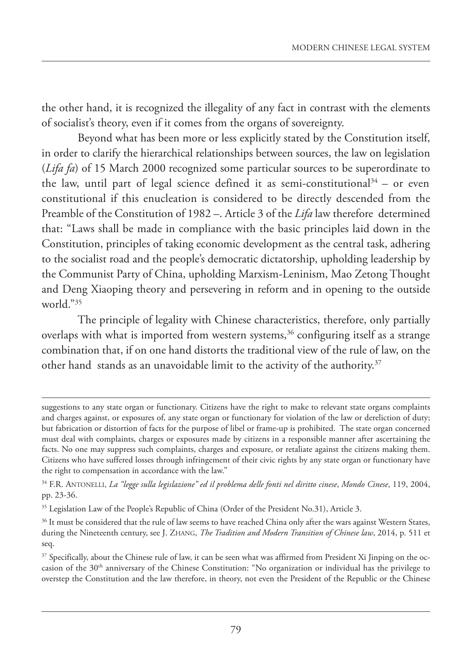the other hand, it is recognized the illegality of any fact in contrast with the elements of socialist's theory, even if it comes from the organs of sovereignty.

Beyond what has been more or less explicitly stated by the Constitution itself, in order to clarify the hierarchical relationships between sources, the law on legislation (*Lifa fa*) of 15 March 2000 recognized some particular sources to be superordinate to the law, until part of legal science defined it as semi-constitutional $3^4$  – or even constitutional if this enucleation is considered to be directly descended from the Preamble of the Constitution of 1982 –. Article 3 of the *Lifa* law therefore determined that: "Laws shall be made in compliance with the basic principles laid down in the Constitution, principles of taking economic development as the central task, adhering to the socialist road and the people's democratic dictatorship, upholding leadership by the Communist Party of China, upholding Marxism-Leninism, Mao zetong Thought and Deng Xiaoping theory and persevering in reform and in opening to the outside world." $35$ 

The principle of legality with Chinese characteristics, therefore, only partially overlaps with what is imported from western systems, <sup>36</sup> configuring itself as a strange combination that, if on one hand distorts the traditional view of the rule of law, on the other hand stands as an unavoidable limit to the activity of the authority. 37

suggestions to any state organ or functionary. Citizens have the right to make to relevant state organs complaints and charges against, or exposures of, any state organ or functionary for violation of the law or dereliction of duty; but fabrication or distortion of facts for the purpose of libel or frame-up is prohibited. The state organ concerned must deal with complaints, charges or exposures made by citizens in a responsible manner after ascertaining the facts. No one may suppress such complaints, charges and exposure, or retaliate against the citizens making them. Citizens who have suffered losses through infringement of their civic rights by any state organ or functionary have the right to compensation in accordance with the law."

<sup>34</sup> F.R. ANTONELLI, *La "legge sulla legislazione" ed il problema delle fonti nel diritto cinese*, *Mondo Cinese*, 119, 2004, pp. 23-36.

<sup>&</sup>lt;sup>35</sup> Legislation Law of the People's Republic of China (Order of the President No.31), Article 3.

<sup>&</sup>lt;sup>36</sup> It must be considered that the rule of law seems to have reached China only after the wars against Western States, during the Nineteenth century, see J. zHANG, *The Tradition and Modern Transition of Chinese law*, 2014, p. 511 et seq.

<sup>&</sup>lt;sup>37</sup> Specifically, about the Chinese rule of law, it can be seen what was affirmed from President Xi Jinping on the occasion of the 30th anniversary of the Chinese Constitution: "No organization or individual has the privilege to overstep the Constitution and the law therefore, in theory, not even the President of the Republic or the Chinese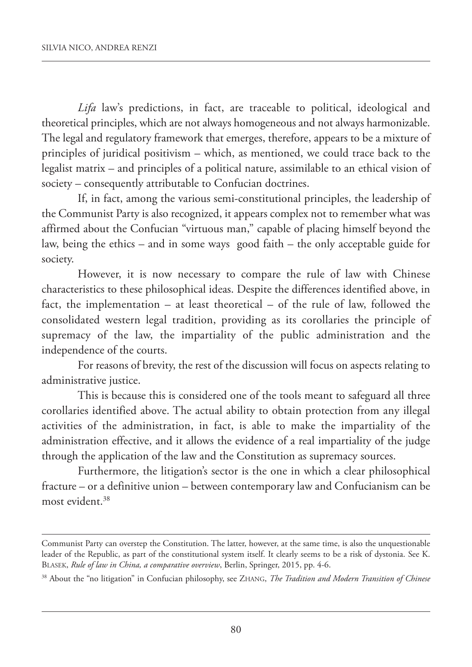*Lifa* law's predictions, in fact, are traceable to political, ideological and theoretical principles, which are not always homogeneous and not always harmonizable. The legal and regulatory framework that emerges, therefore, appears to be a mixture of principles of juridical positivism – which, as mentioned, we could trace back to the legalist matrix – and principles of a political nature, assimilable to an ethical vision of society – consequently attributable to Confucian doctrines.

If, in fact, among the various semi-constitutional principles, the leadership of the Communist Party is also recognized, it appears complex not to remember what was affirmed about the Confucian "virtuous man," capable of placing himself beyond the law, being the ethics – and in some ways good faith – the only acceptable guide for society.

However, it is now necessary to compare the rule of law with Chinese characteristics to these philosophical ideas. Despite the differences identified above, in fact, the implementation – at least theoretical – of the rule of law, followed the consolidated western legal tradition, providing as its corollaries the principle of supremacy of the law, the impartiality of the public administration and the independence of the courts.

For reasons of brevity, the rest of the discussion will focus on aspects relating to administrative justice.

This is because this is considered one of the tools meant to safeguard all three corollaries identified above. The actual ability to obtain protection from any illegal activities of the administration, in fact, is able to make the impartiality of the administration effective, and it allows the evidence of a real impartiality of the judge through the application of the law and the Constitution as supremacy sources.

Furthermore, the litigation's sector is the one in which a clear philosophical fracture – or a definitive union – between contemporary law and Confucianism can be most evident. 38

Communist Party can overstep the Constitution. The latter, however, at the same time, is also the unquestionable leader of the Republic, as part of the constitutional system itself. It clearly seems to be a risk of dystonia. See K. BLASEK, *Rule of law in China, a comparative overview*, Berlin, Springer, 2015, pp. 4-6.

<sup>38</sup> About the "no litigation" in Confucian philosophy, see zHANG, *The Tradition and Modern Transition of Chinese*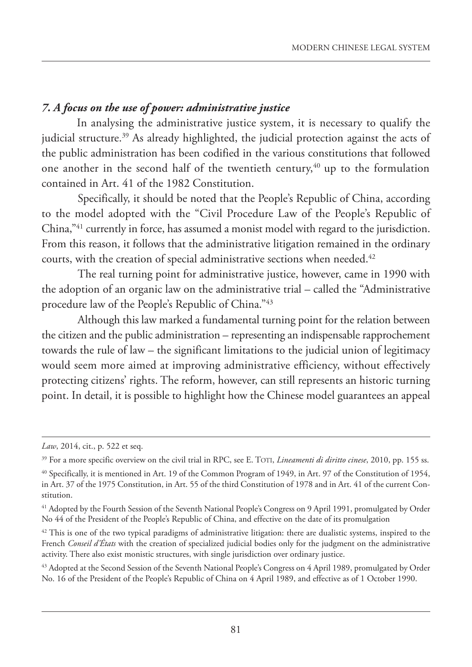# *7. A focus on the use of power: administrative justice*

In analysing the administrative justice system, it is necessary to qualify the judicial structure. <sup>39</sup> As already highlighted, the judicial protection against the acts of the public administration has been codified in the various constitutions that followed one another in the second half of the twentieth century, <sup>40</sup> up to the formulation contained in Art. 41 of the 1982 Constitution.

Specifically, it should be noted that the People's Republic of China, according to the model adopted with the "Civil Procedure Law of the People's Republic of China,"41 currently in force, has assumed a monist model with regard to the jurisdiction. From this reason, it follows that the administrative litigation remained in the ordinary courts, with the creation of special administrative sections when needed. 42

The real turning point for administrative justice, however, came in 1990 with the adoption of an organic law on the administrative trial – called the "Administrative procedure law of the People's Republic of China."43

Although this law marked a fundamental turning point for the relation between the citizen and the public administration – representing an indispensable rapprochement towards the rule of law – the significant limitations to the judicial union of legitimacy would seem more aimed at improving administrative efficiency, without effectively protecting citizens' rights. The reform, however, can still represents an historic turning point. In detail, it is possible to highlight how the Chinese model guarantees an appeal

*Law*, 2014, cit., p. 522 et seq.

<sup>39</sup> For a more specific overview on the civil trial in RPC, see E. TOTI, *Lineamenti di diritto cinese*, 2010, pp. 155 ss.

<sup>40</sup> Specifically, it is mentioned in Art. 19 of the Common Program of 1949, in Art. 97 of the Constitution of 1954, in Art. 37 of the 1975 Constitution, in Art. 55 of the third Constitution of 1978 and in Art. 41 of the current Constitution.

<sup>&</sup>lt;sup>41</sup> Adopted by the Fourth Session of the Seventh National People's Congress on 9 April 1991, promulgated by Order No 44 of the President of the People's Republic of China, and effective on the date of its promulgation

 $42$  This is one of the two typical paradigms of administrative litigation: there are dualistic systems, inspired to the French *Conseil d'États* with the creation of specialized judicial bodies only for the judgment on the administrative activity. There also exist monistic structures, with single jurisdiction over ordinary justice.

<sup>&</sup>lt;sup>43</sup> Adopted at the Second Session of the Seventh National People's Congress on 4 April 1989, promulgated by Order No. 16 of the President of the People's Republic of China on 4 April 1989, and effective as of 1 October 1990.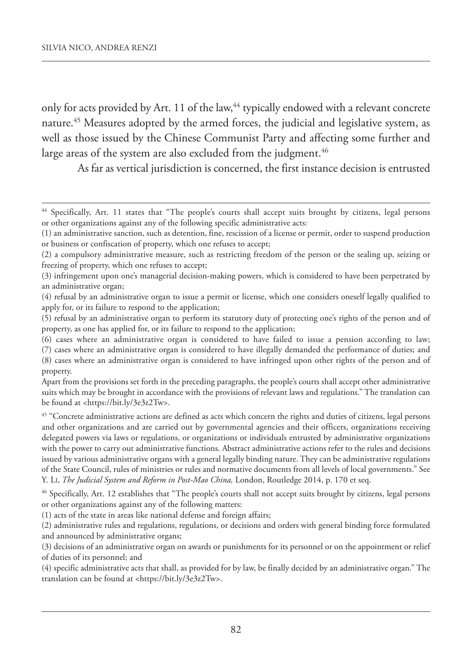only for acts provided by Art. 11 of the law, <sup>44</sup> typically endowed with a relevant concrete nature. <sup>45</sup> Measures adopted by the armed forces, the judicial and legislative system, as well as those issued by the Chinese Communist Party and affecting some further and large areas of the system are also excluded from the judgment. 46

As far as vertical jurisdiction is concerned, the first instance decision is entrusted

<sup>44</sup> Specifically, Art. 11 states that "The people's courts shall accept suits brought by citizens, legal persons or other organizations against any of the following specific administrative acts:

<sup>(1)</sup> an administrative sanction, such as detention, fine, rescission of a license or permit, order to suspend production or business or confiscation of property, which one refuses to accept;

<sup>(2)</sup> a compulsory administrative measure, such as restricting freedom of the person or the sealing up, seizing or freezing of property, which one refuses to accept;

<sup>(3)</sup> infringement upon one's managerial decision‐making powers, which is considered to have been perpetrated by an administrative organ;

<sup>(4)</sup> refusal by an administrative organ to issue a permit or license, which one considers oneself legally qualified to apply for, or its failure to respond to the application;

<sup>(5)</sup> refusal by an administrative organ to perform its statutory duty of protecting one's rights of the person and of property, as one has applied for, or its failure to respond to the application;

<sup>(6)</sup> cases where an administrative organ is considered to have failed to issue a pension according to law;

<sup>(7)</sup> cases where an administrative organ is considered to have illegally demanded the performance of duties; and

<sup>(8)</sup> cases where an administrative organ is considered to have infringed upon other rights of the person and of property.

Apart from the provisions set forth in the preceding paragraphs, the people's courts shall accept other administrative suits which may be brought in accordance with the provisions of relevant laws and regulations." The translation can be found at <https://bit.ly/3e3z2Tw>.

<sup>&</sup>lt;sup>45</sup> "Concrete administrative actions are defined as acts which concern the rights and duties of citizens, legal persons and other organizations and are carried out by governmental agencies and their officers, organizations receiving delegated powers via laws or regulations, or organizations or individuals entrusted by administrative organizations with the power to carry out administrative functions. Abstract administrative actions refer to the rules and decisions issued by various administrative organs with a general legally binding nature. They can be administrative regulations of the State Council, rules of ministries or rules and normative documents from all levels of local governments." See Y. LI, *The Judicial System and Reform in Post-Mao China,* London, Routledge 2014, p. 170 et seq.

<sup>46</sup> Specifically, Art. 12 establishes that "The people's courts shall not accept suits brought by citizens, legal persons or other organizations against any of the following matters:

<sup>(1)</sup> acts of the state in areas like national defense and foreign affairs;

<sup>(2)</sup> administrative rules and regulations, regulations, or decisions and orders with general binding force formulated and announced by administrative organs;

<sup>(3)</sup> decisions of an administrative organ on awards or punishments for its personnel or on the appointment or relief of duties of its personnel; and

<sup>(4)</sup> specific administrative acts that shall, as provided for by law, be finally decided by an administrative organ." The translation can be found at <https://bit.ly/3e3z2Tw>.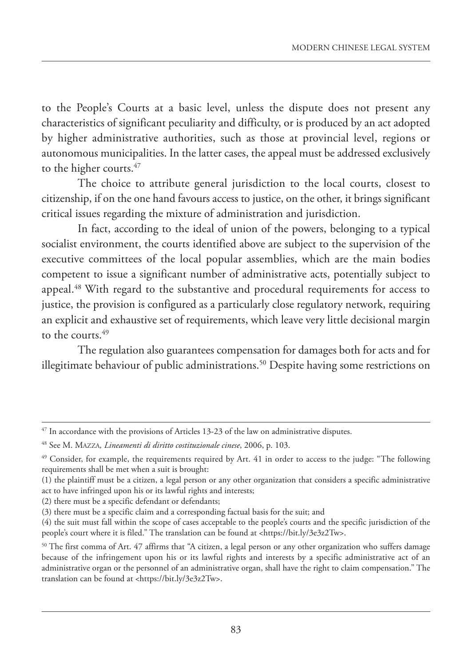to the People's Courts at a basic level, unless the dispute does not present any characteristics of significant peculiarity and difficulty, or is produced by an act adopted by higher administrative authorities, such as those at provincial level, regions or autonomous municipalities. In the latter cases, the appeal must be addressed exclusively to the higher courts. 47

The choice to attribute general jurisdiction to the local courts, closest to citizenship, if on the one hand favours access to justice, on the other, it brings significant critical issues regarding the mixture of administration and jurisdiction.

In fact, according to the ideal of union of the powers, belonging to a typical socialist environment, the courts identified above are subject to the supervision of the executive committees of the local popular assemblies, which are the main bodies competent to issue a significant number of administrative acts, potentially subject to appeal. <sup>48</sup> With regard to the substantive and procedural requirements for access to justice, the provision is configured as a particularly close regulatory network, requiring an explicit and exhaustive set of requirements, which leave very little decisional margin to the courts. 49

The regulation also guarantees compensation for damages both for acts and for illegitimate behaviour of public administrations. <sup>50</sup> Despite having some restrictions on

<sup>&</sup>lt;sup>47</sup> In accordance with the provisions of Articles 13-23 of the law on administrative disputes.

<sup>48</sup> See M. MAzzA*, Lineamenti di diritto costituzionale cinese*, 2006, p. 103.

<sup>&</sup>lt;sup>49</sup> Consider, for example, the requirements required by Art. 41 in order to access to the judge: "The following requirements shall be met when a suit is brought:

<sup>(1)</sup> the plaintiff must be a citizen, a legal person or any other organization that considers a specific administrative act to have infringed upon his or its lawful rights and interests;

<sup>(2)</sup> there must be a specific defendant or defendants;

<sup>(3)</sup> there must be a specific claim and a corresponding factual basis for the suit; and

<sup>(4)</sup> the suit must fall within the scope of cases acceptable to the people's courts and the specific jurisdiction of the people's court where it is filed." The translation can be found at <https://bit.ly/3e3z2Tw>.

 $50$  The first comma of Art. 47 affirms that "A citizen, a legal person or any other organization who suffers damage because of the infringement upon his or its lawful rights and interests by a specific administrative act of an administrative organ or the personnel of an administrative organ, shall have the right to claim compensation." The translation can be found at <https://bit.ly/3e3z2Tw>.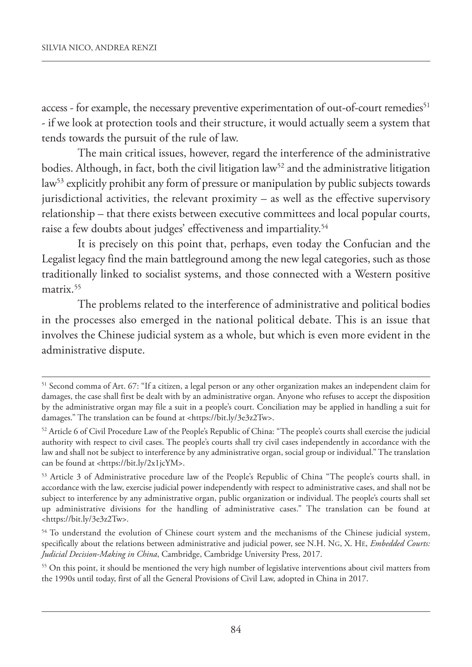access - for example, the necessary preventive experimentation of out-of-court remedies 51 - if we look at protection tools and their structure, it would actually seem a system that tends towards the pursuit of the rule of law.

The main critical issues, however, regard the interference of the administrative bodies. Although, in fact, both the civil litigation  $law<sup>52</sup>$  and the administrative litigation law<sup>53</sup> explicitly prohibit any form of pressure or manipulation by public subjects towards jurisdictional activities, the relevant proximity – as well as the effective supervisory relationship – that there exists between executive committees and local popular courts, raise a few doubts about judges' effectiveness and impartiality. 54

It is precisely on this point that, perhaps, even today the Confucian and the Legalist legacy find the main battleground among the new legal categories, such as those traditionally linked to socialist systems, and those connected with a Western positive matrix. 55

The problems related to the interference of administrative and political bodies in the processes also emerged in the national political debate. This is an issue that involves the Chinese judicial system as a whole, but which is even more evident in the administrative dispute.

<sup>51</sup> Second comma of Art. 67: "If a citizen, a legal person or any other organization makes an independent claim for damages, the case shall first be dealt with by an administrative organ. Anyone who refuses to accept the disposition by the administrative organ may file a suit in a people's court. Conciliation may be applied in handling a suit for damages." The translation can be found at <https://bit.ly/3e3z2Tw>.

<sup>52</sup> Article 6 of Civil Procedure Law of the People's Republic of China: "The people's courts shall exercise the judicial authority with respect to civil cases. The people's courts shall try civil cases independently in accordance with the law and shall not be subject to interference by any administrative organ, social group or individual." The translation can be found at <https://bit.ly/2x1jcYM>.

<sup>53</sup> Article 3 of Administrative procedure law of the People's Republic of China "The people's courts shall, in accordance with the law, exercise judicial power independently with respect to administrative cases, and shall not be subject to interference by any administrative organ, public organization or individual. The people's courts shall set up administrative divisions for the handling of administrative cases." The translation can be found at <https://bit.ly/3e3z2Tw>.

<sup>&</sup>lt;sup>54</sup> To understand the evolution of Chinese court system and the mechanisms of the Chinese judicial system, specifically about the relations between administrative and judicial power, see N.H. NG, X. HE, *Embedded Courts: Judicial Decision-Making in China*, Cambridge, Cambridge University Press, 2017.

<sup>&</sup>lt;sup>55</sup> On this point, it should be mentioned the very high number of legislative interventions about civil matters from the 1990s until today, first of all the General Provisions of Civil Law, adopted in China in 2017.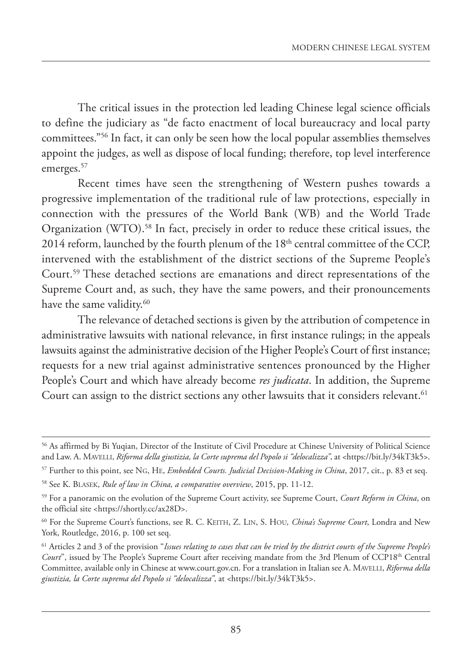The critical issues in the protection led leading Chinese legal science officials to define the judiciary as "de facto enactment of local bureaucracy and local party committees."56 In fact, it can only be seen how the local popular assemblies themselves appoint the judges, as well as dispose of local funding; therefore, top level interference emerges. 57

Recent times have seen the strengthening of Western pushes towards a progressive implementation of the traditional rule of law protections, especially in connection with the pressures of the World Bank (WB) and the World Trade Organization (WTO). <sup>58</sup> In fact, precisely in order to reduce these critical issues, the  $2014$  reform, launched by the fourth plenum of the  $18<sup>th</sup>$  central committee of the CCP, intervened with the establishment of the district sections of the Supreme People's Court. <sup>59</sup> These detached sections are emanations and direct representations of the Supreme Court and, as such, they have the same powers, and their pronouncements have the same validity. 60

The relevance of detached sections is given by the attribution of competence in administrative lawsuits with national relevance, in first instance rulings; in the appeals lawsuits against the administrative decision of the Higher People's Court of first instance; requests for a new trial against administrative sentences pronounced by the Higher People's Court and which have already become *res judicata*. In addition, the Supreme Court can assign to the district sections any other lawsuits that it considers relevant. 61

<sup>56</sup> As affirmed by Bi Yuqian, Director of the Institute of Civil Procedure at Chinese University of Political Science and Law. A. MAVELLI, *Riforma della giustizia, la Corte suprema del Popolo si "delocalizza"*, at <https://bit.ly/34kT3k5>.

<sup>57</sup> Further to this point, see NG, HE, *Embedded Courts. Judicial Decision-Making in China*, 2017, cit., p. 83 et seq.

<sup>58</sup> See K. BLASEK, *Rule of law in China, a comparative overview*, 2015, pp. 11-12.

<sup>59</sup> For a panoramic on the evolution of the Supreme Court activity, see Supreme Court, *Court Reform in China*, on the official site <https://shortly.cc/ax28D>.

<sup>60</sup> For the Supreme Court's functions, see R. C. KEITH, z. LIN, S. HOU*, China's Supreme Court*, Londra and New York, Routledge, 2016, p. 100 set seq.

 $<sup>61</sup>$  Articles 2 and 3 of the provision "Issues relating to cases that can be tried by the district courts of the Supreme People's</sup> *Court*", issued by The People's Supreme Court after receiving mandate from the 3rd Plenum of CCP18th Central Committee, available only in Chinese at www.court.gov.cn. For a translation in Italian see A. MAVELLI, *Riforma della giustizia, la Corte suprema del Popolo si "delocalizza"*, at <https://bit.ly/34kT3k5>.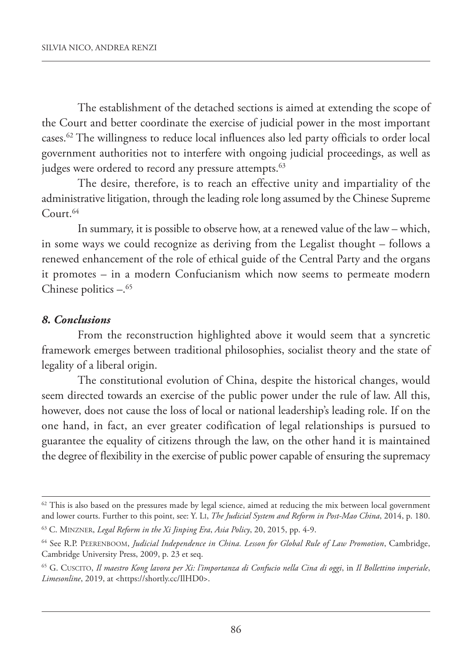The establishment of the detached sections is aimed at extending the scope of the Court and better coordinate the exercise of judicial power in the most important cases. <sup>62</sup> The willingness to reduce local influences also led party officials to order local government authorities not to interfere with ongoing judicial proceedings, as well as judges were ordered to record any pressure attempts.<sup>63</sup>

The desire, therefore, is to reach an effective unity and impartiality of the administrative litigation, through the leading role long assumed by the Chinese Supreme Court. 64

In summary, it is possible to observe how, at a renewed value of the law – which, in some ways we could recognize as deriving from the Legalist thought – follows a renewed enhancement of the role of ethical guide of the Central Party and the organs it promotes – in a modern Confucianism which now seems to permeate modern Chinese politics  $-.65$ 

#### *8. Conclusions*

From the reconstruction highlighted above it would seem that a syncretic framework emerges between traditional philosophies, socialist theory and the state of legality of a liberal origin.

The constitutional evolution of China, despite the historical changes, would seem directed towards an exercise of the public power under the rule of law. All this, however, does not cause the loss of local or national leadership's leading role. If on the one hand, in fact, an ever greater codification of legal relationships is pursued to guarantee the equality of citizens through the law, on the other hand it is maintained the degree of flexibility in the exercise of public power capable of ensuring the supremacy

 $62$  This is also based on the pressures made by legal science, aimed at reducing the mix between local government and lower courts. Further to this point, see: Y. LI, *The Judicial System and Reform in Post-Mao China*, 2014, p. 180.

<sup>63</sup> C. MINzNER, *Legal Reform in the Xi Jinping Era*, *Asia Policy*, 20, 2015, pp. 4-9.

<sup>64</sup> See R.P. PEERENBOOM, *Judicial Independence in China. Lesson for Global Rule of Law Promotion*, Cambridge, Cambridge University Press, 2009, p. 23 et seq.

<sup>&</sup>lt;sup>65</sup> G. CUSCITO, Il maestro Kong lavora per Xi: l'importanza di Confucio nella Cina di oggi, in Il Bollettino imperiale, *Limesonline*, 2019, at <https://shortly.cc/IlHD0>.